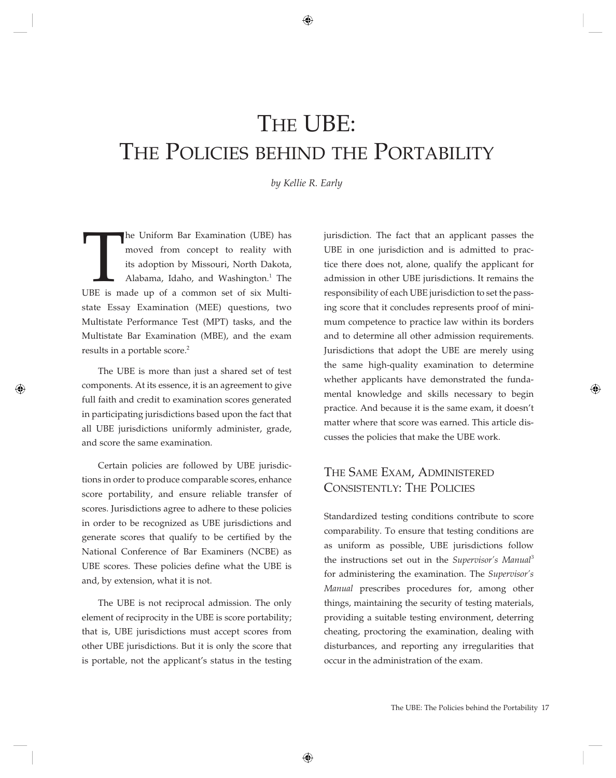# THE UBE: THE POLICIES BEHIND THE PORTABILITY

*by Kellie R. Early*

The Uniform Bar Examination (UBE) has<br>
moved from concept to reality with<br>
its adoption by Missouri, North Dakota,<br>
Alabama, Idaho, and Washington.<sup>1</sup> The<br>
UBE is made up of a common set of six Multimoved from concept to reality with its adoption by Missouri, North Dakota, Alabama, Idaho, and Washington.<sup>1</sup> The state Essay Examination (MEE) questions, two Multistate Performance Test (MPT) tasks, and the Multistate Bar Examination (MBE), and the exam results in a portable score.<sup>2</sup>

The UBE is more than just a shared set of test components. At its essence, it is an agreement to give full faith and credit to examination scores generated in participating jurisdictions based upon the fact that all UBE jurisdictions uniformly administer, grade, and score the same examination.

Certain policies are followed by UBE jurisdictions in order to produce comparable scores, enhance score portability, and ensure reliable transfer of scores. Jurisdictions agree to adhere to these policies in order to be recognized as UBE jurisdictions and generate scores that qualify to be certified by the National Conference of Bar Examiners (NCBE) as UBE scores. These policies define what the UBE is and, by extension, what it is not.

The UBE is not reciprocal admission. The only element of reciprocity in the UBE is score portability; that is, UBE jurisdictions must accept scores from other UBE jurisdictions. But it is only the score that is portable, not the applicant's status in the testing

jurisdiction. The fact that an applicant passes the UBE in one jurisdiction and is admitted to practice there does not, alone, qualify the applicant for admission in other UBE jurisdictions. It remains the responsibility of each UBE jurisdiction to set the passing score that it concludes represents proof of minimum competence to practice law within its borders and to determine all other admission requirements. Jurisdictions that adopt the UBE are merely using the same high-quality examination to determine whether applicants have demonstrated the fundamental knowledge and skills necessary to begin practice. And because it is the same exam, it doesn't matter where that score was earned. This article discusses the policies that make the UBE work.

## THE SAME EXAM, ADMINISTERED CONSISTENTLY: THE POLICIES

Standardized testing conditions contribute to score comparability. To ensure that testing conditions are as uniform as possible, UBE jurisdictions follow the instructions set out in the *Supervisor's Manual*<sup>3</sup> for administering the examination. The *Supervisor's Manual* prescribes procedures for, among other things, maintaining the security of testing materials, providing a suitable testing environment, deterring cheating, proctoring the examination, dealing with disturbances, and reporting any irregularities that occur in the administration of the exam.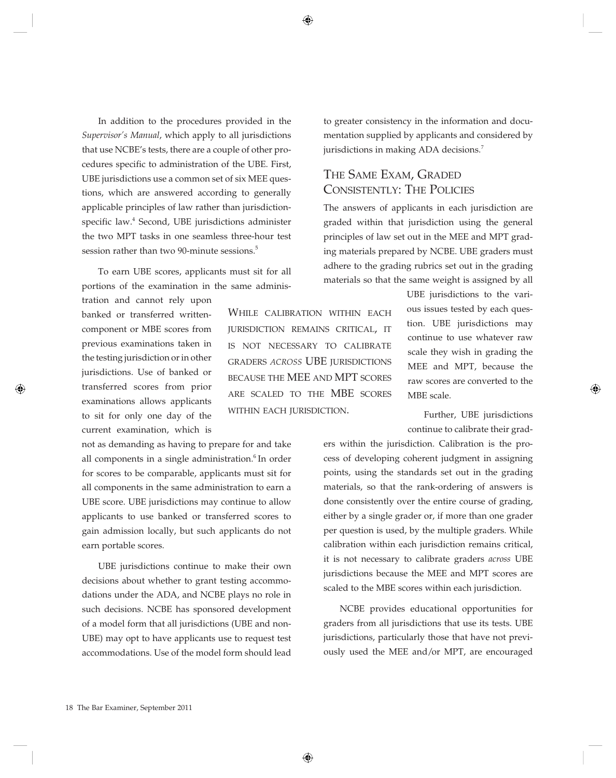In addition to the procedures provided in the *Supervisor's Manual*, which apply to all jurisdictions that use NCBE's tests, there are a couple of other procedures specific to administration of the UBE. First, UBE jurisdictions use a common set of six MEE questions, which are answered according to generally applicable principles of law rather than jurisdictionspecific law.<sup>4</sup> Second, UBE jurisdictions administer the two MPT tasks in one seamless three-hour test session rather than two 90-minute sessions.<sup>5</sup>

To earn UBE scores, applicants must sit for all portions of the examination in the same adminis-

tration and cannot rely upon banked or transferred writtencomponent or MBE scores from previous examinations taken in the testing jurisdiction or in other jurisdictions. Use of banked or transferred scores from prior examinations allows applicants to sit for only one day of the current examination, which is

not as demanding as having to prepare for and take all components in a single administration.<sup>6</sup> In order for scores to be comparable, applicants must sit for all components in the same administration to earn a UBE score. UBE jurisdictions may continue to allow applicants to use banked or transferred scores to gain admission locally, but such applicants do not earn portable scores.

UBE jurisdictions continue to make their own decisions about whether to grant testing accommodations under the ADA, and NCBE plays no role in such decisions. NCBE has sponsored development of a model form that all jurisdictions (UBE and non-UBE) may opt to have applicants use to request test accommodations. Use of the model form should lead

WHILE CALIBRATION WITHIN EACH jUrisDiction remains criticaL, it is not necessarY to caLiBrate graDers *across* UBe jUrisDictions BECAUSE THE MEE AND MPT SCORES are scaLeD to the mBe scores WITHIN EACH JURISDICTION.

to greater consistency in the information and documentation supplied by applicants and considered by jurisdictions in making ADA decisions.<sup>7</sup>

## THE SAME EXAM, GRADED CONSISTENTLY: THE POLICIES

The answers of applicants in each jurisdiction are graded within that jurisdiction using the general principles of law set out in the MEE and MPT grading materials prepared by NCBE. UBE graders must adhere to the grading rubrics set out in the grading materials so that the same weight is assigned by all

> UBE jurisdictions to the various issues tested by each question. UBE jurisdictions may continue to use whatever raw scale they wish in grading the MEE and MPT, because the raw scores are converted to the MBE scale.

> Further, UBE jurisdictions continue to calibrate their grad-

ers within the jurisdiction. Calibration is the process of developing coherent judgment in assigning points, using the standards set out in the grading materials, so that the rank-ordering of answers is done consistently over the entire course of grading, either by a single grader or, if more than one grader per question is used, by the multiple graders. While calibration within each jurisdiction remains critical, it is not necessary to calibrate graders *across* UBE jurisdictions because the MEE and MPT scores are scaled to the MBE scores within each jurisdiction.

NCBE provides educational opportunities for graders from all jurisdictions that use its tests. UBE jurisdictions, particularly those that have not previously used the MEE and/or MPT, are encouraged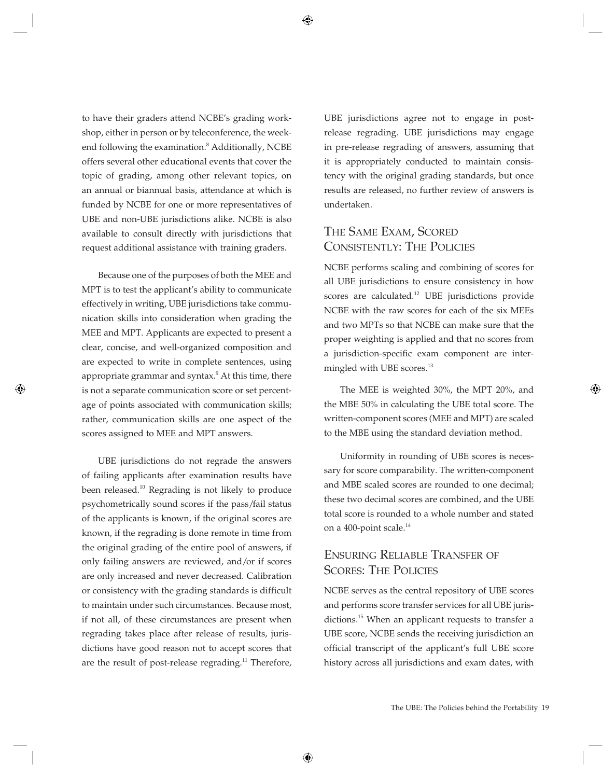to have their graders attend NCBE's grading workshop, either in person or by teleconference, the weekend following the examination.<sup>8</sup> Additionally, NCBE offers several other educational events that cover the topic of grading, among other relevant topics, on an annual or biannual basis, attendance at which is funded by NCBE for one or more representatives of UBE and non-UBE jurisdictions alike. NCBE is also available to consult directly with jurisdictions that request additional assistance with training graders.

Because one of the purposes of both the MEE and MPT is to test the applicant's ability to communicate effectively in writing, UBE jurisdictions take communication skills into consideration when grading the MEE and MPT. Applicants are expected to present a clear, concise, and well-organized composition and are expected to write in complete sentences, using appropriate grammar and syntax.<sup>9</sup> At this time, there is not a separate communication score or set percentage of points associated with communication skills; rather, communication skills are one aspect of the scores assigned to MEE and MPT answers.

UBE jurisdictions do not regrade the answers of failing applicants after examination results have been released.<sup>10</sup> Regrading is not likely to produce psychometrically sound scores if the pass/fail status of the applicants is known, if the original scores are known, if the regrading is done remote in time from the original grading of the entire pool of answers, if only failing answers are reviewed, and/or if scores are only increased and never decreased. Calibration or consistency with the grading standards is difficult to maintain under such circumstances. Because most, if not all, of these circumstances are present when regrading takes place after release of results, jurisdictions have good reason not to accept scores that are the result of post-release regrading.<sup>11</sup> Therefore, UBE jurisdictions agree not to engage in postrelease regrading. UBE jurisdictions may engage in pre-release regrading of answers, assuming that it is appropriately conducted to maintain consistency with the original grading standards, but once results are released, no further review of answers is undertaken.

## THE SAME EXAM, SCORED CONSISTENTLY: THE POLICIES

NCBE performs scaling and combining of scores for all UBE jurisdictions to ensure consistency in how scores are calculated.<sup>12</sup> UBE jurisdictions provide NCBE with the raw scores for each of the six MEEs and two MPTs so that NCBE can make sure that the proper weighting is applied and that no scores from a jurisdiction-specific exam component are intermingled with UBE scores.<sup>13</sup>

The MEE is weighted 30%, the MPT 20%, and the MBE 50% in calculating the UBE total score. The written-component scores (MEE and MPT) are scaled to the MBE using the standard deviation method.

Uniformity in rounding of UBE scores is necessary for score comparability. The written-component and MBE scaled scores are rounded to one decimal; these two decimal scores are combined, and the UBE total score is rounded to a whole number and stated on a 400-point scale.<sup>14</sup>

## ENSURING RELIABLE TRANSFER OF SCORES: THE POLICIES

NCBE serves as the central repository of UBE scores and performs score transfer services for all UBE jurisdictions.<sup>15</sup> When an applicant requests to transfer a UBE score, NCBE sends the receiving jurisdiction an official transcript of the applicant's full UBE score history across all jurisdictions and exam dates, with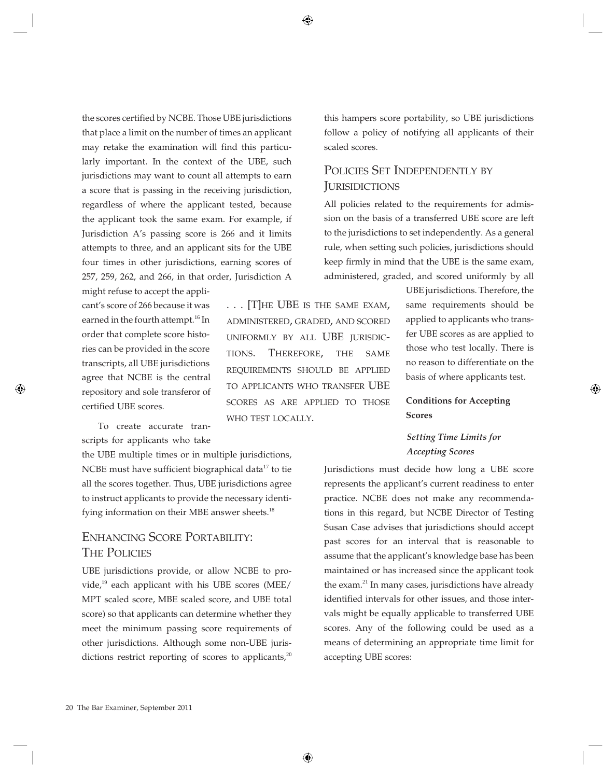the scores certified by NCBE. Those UBE jurisdictions that place a limit on the number of times an applicant may retake the examination will find this particularly important. In the context of the UBE, such jurisdictions may want to count all attempts to earn a score that is passing in the receiving jurisdiction, regardless of where the applicant tested, because the applicant took the same exam. For example, if Jurisdiction A's passing score is 266 and it limits attempts to three, and an applicant sits for the UBE four times in other jurisdictions, earning scores of 257, 259, 262, and 266, in that order, Jurisdiction A might refuse to accept the appli-

cant's score of 266 because it was earned in the fourth attempt.<sup>16</sup> In order that complete score histories can be provided in the score transcripts, all UBE jurisdictions agree that NCBE is the central repository and sole transferor of certified UBE scores.

To create accurate transcripts for applicants who take

the UBE multiple times or in multiple jurisdictions, NCBE must have sufficient biographical data $17$  to tie all the scores together. Thus, UBE jurisdictions agree to instruct applicants to provide the necessary identifying information on their MBE answer sheets.<sup>18</sup>

## ENHANCING SCORE PORTABILITY: THE POLICIES

UBE jurisdictions provide, or allow NCBE to provide, $^{19}$  each applicant with his UBE scores (MEE/ MPT scaled score, MBE scaled score, and UBE total score) so that applicants can determine whether they meet the minimum passing score requirements of other jurisdictions. Although some non-UBE jurisdictions restrict reporting of scores to applicants, $2^{0}$ 

 $\ldots$  [T]HE UBE IS THE SAME EXAM, aDministereD, graDeD, anD scoreD UNIFORMLY BY ALL UBE JURISDICtions. therefore, the same reqUirements shoULD Be appLieD to appLicants who transfer UBe scores as are appLieD to those who test LocaLLY.

this hampers score portability, so UBE jurisdictions follow a policy of notifying all applicants of their scaled scores.

## POLICIES SET INDEPENDENTLY BY **JURISIDICTIONS**

All policies related to the requirements for admission on the basis of a transferred UBE score are left to the jurisdictions to set independently. As a general rule, when setting such policies, jurisdictions should keep firmly in mind that the UBE is the same exam, administered, graded, and scored uniformly by all

> UBE jurisdictions. Therefore, the same requirements should be applied to applicants who transfer UBE scores as are applied to those who test locally. There is no reason to differentiate on the basis of where applicants test.

#### **Conditions for Accepting Scores**

#### *Setting Time Limits for Accepting Scores*

Jurisdictions must decide how long a UBE score represents the applicant's current readiness to enter practice. NCBE does not make any recommendations in this regard, but NCBE Director of Testing Susan Case advises that jurisdictions should accept past scores for an interval that is reasonable to assume that the applicant's knowledge base has been maintained or has increased since the applicant took the exam.<sup>21</sup> In many cases, jurisdictions have already identified intervals for other issues, and those intervals might be equally applicable to transferred UBE scores. Any of the following could be used as a means of determining an appropriate time limit for accepting UBE scores: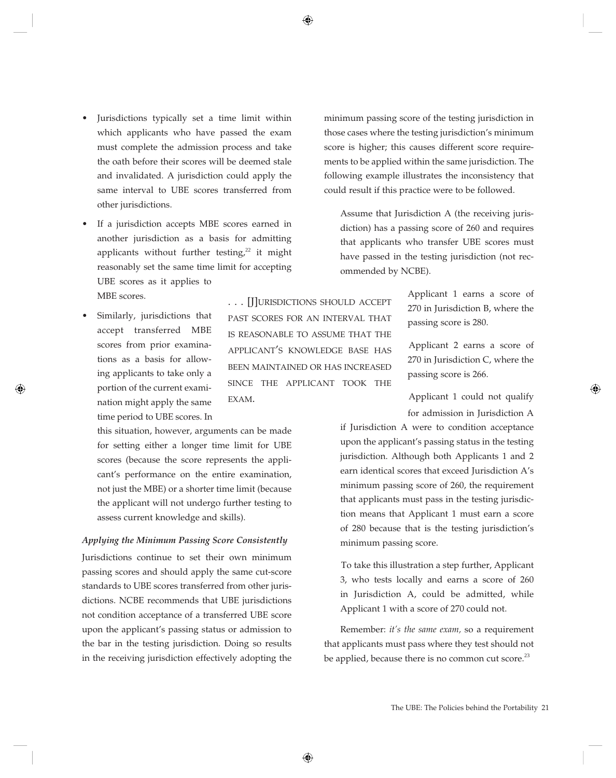- Jurisdictions typically set a time limit within which applicants who have passed the exam must complete the admission process and take the oath before their scores will be deemed stale and invalidated. A jurisdiction could apply the same interval to UBE scores transferred from other jurisdictions.
- If a jurisdiction accepts MBE scores earned in another jurisdiction as a basis for admitting applicants without further testing, $22$  it might reasonably set the same time limit for accepting UBE scores as it applies to MBE scores.
- Similarly, jurisdictions that accept transferred MBE scores from prior examinations as a basis for allowing applicants to take only a portion of the current examination might apply the same time period to UBE scores. In

this situation, however, arguments can be made for setting either a longer time limit for UBE scores (because the score represents the applicant's performance on the entire examination, not just the MBE) or a shorter time limit (because the applicant will not undergo further testing to assess current knowledge and skills).

#### *Applying the Minimum Passing Score Consistently*

Jurisdictions continue to set their own minimum passing scores and should apply the same cut-score standards to UBE scores transferred from other jurisdictions. NCBE recommends that UBE jurisdictions not condition acceptance of a transferred UBE score upon the applicant's passing status or admission to the bar in the testing jurisdiction. Doing so results in the receiving jurisdiction effectively adopting the

... [J]URISDICTIONS SHOULD ACCEPT past scores for an intervaL that is reasonaBLe to assUme that the appLicant's knowLeDge Base has Been maintaineD or has increaseD since the appLicant took the EXAM.

minimum passing score of the testing jurisdiction in those cases where the testing jurisdiction's minimum score is higher; this causes different score requirements to be applied within the same jurisdiction. The following example illustrates the inconsistency that could result if this practice were to be followed.

Assume that Jurisdiction A (the receiving jurisdiction) has a passing score of 260 and requires that applicants who transfer UBE scores must have passed in the testing jurisdiction (not recommended by NCBE).

> Applicant 1 earns a score of 270 in Jurisdiction B, where the passing score is 280.

> Applicant 2 earns a score of 270 in Jurisdiction C, where the passing score is 266.

> Applicant 1 could not qualify for admission in Jurisdiction A

if Jurisdiction A were to condition acceptance upon the applicant's passing status in the testing jurisdiction. Although both Applicants 1 and 2 earn identical scores that exceed Jurisdiction A's minimum passing score of 260, the requirement that applicants must pass in the testing jurisdiction means that Applicant 1 must earn a score of 280 because that is the testing jurisdiction's minimum passing score.

To take this illustration a step further, Applicant 3, who tests locally and earns a score of 260 in Jurisdiction A, could be admitted, while Applicant 1 with a score of 270 could not.

Remember: *it's the same exam,* so a requirement that applicants must pass where they test should not be applied, because there is no common cut score.<sup>23</sup>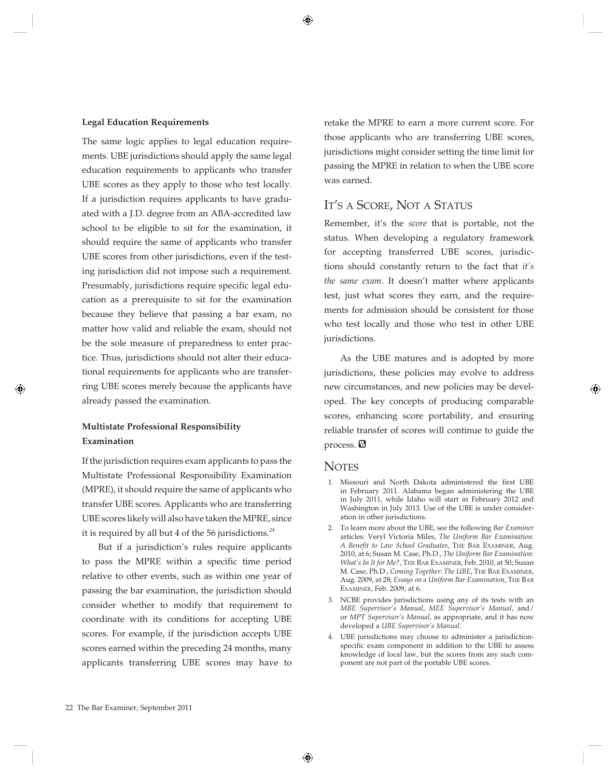#### **Legal Education Requirements**

The same logic applies to legal education requirements. UBE jurisdictions should apply the same legal education requirements to applicants who transfer UBE scores as they apply to those who test locally. If a jurisdiction requires applicants to have graduated with a J.D. degree from an ABA-accredited law school to be eligible to sit for the examination, it should require the same of applicants who transfer UBE scores from other jurisdictions, even if the testing jurisdiction did not impose such a requirement. Presumably, jurisdictions require specific legal education as a prerequisite to sit for the examination because they believe that passing a bar exam, no matter how valid and reliable the exam, should not be the sole measure of preparedness to enter practice. Thus, jurisdictions should not alter their educational requirements for applicants who are transferring UBE scores merely because the applicants have already passed the examination.

#### **Multistate Professional Responsibility Examination**

If the jurisdiction requires exam applicants to pass the Multistate Professional Responsibility Examination (MPRE), it should require the same of applicants who transfer UBE scores. Applicants who are transferring UBE scores likely will also have taken the MPRE, since it is required by all but 4 of the 56 jurisdictions. $^{24}$ 

But if a jurisdiction's rules require applicants to pass the MPRE within a specific time period relative to other events, such as within one year of passing the bar examination, the jurisdiction should consider whether to modify that requirement to coordinate with its conditions for accepting UBE scores. For example, if the jurisdiction accepts UBE scores earned within the preceding 24 months, many applicants transferring UBE scores may have to

retake the MPRE to earn a more current score. For those applicants who are transferring UBE scores, jurisdictions might consider setting the time limit for passing the MPRE in relation to when the UBE score was earned.

### IT'S A SCORE, NOT A STATUS

Remember, it's the *score* that is portable, not the status. When developing a regulatory framework for accepting transferred UBE scores, jurisdictions should constantly return to the fact that *it's the same exam*. It doesn't matter where applicants test, just what scores they earn, and the requirements for admission should be consistent for those who test locally and those who test in other UBE jurisdictions.

As the UBE matures and is adopted by more jurisdictions, these policies may evolve to address new circumstances, and new policies may be developed. The key concepts of producing comparable scores, enhancing score portability, and ensuring reliable transfer of scores will continue to guide the process.  $\blacksquare$ 

#### **NOTES**

- 1. Missouri and North Dakota administered the first UBE in February 2011. Alabama began administering the UBE in July 2011, while Idaho will start in February 2012 and Washington in July 2013. Use of the UBE is under consideration in other jurisdictions.
- 2. To learn more about the UBE, see the following *Bar Examiner*  articles: Veryl Victoria Miles, *The Uniform Bar Examination: A Benefit to Law School Graduates*, the Bar examiner, Aug. 2010, at 6; Susan M. Case, Ph.D., *The Uniform Bar Examination: What's In It for Me?*, THE BAR EXAMINER, Feb. 2010, at 50; Susan M. Case, Ph.D., *Coming Together: The UBE*, THE BAR EXAMINER, Aug. 2009, at 28; *Essays on a Uniform Bar Examination*, THE BAR EXAMINER, Feb. 2009, at 6.
- 3. NCBE provides jurisdictions using any of its tests with an *MBE Supervisor's Manual*, *MEE Supervisor's Manual*, and/ or *MPT Supervisor's Manual*, as appropriate, and it has now developed a *UBE Supervisor's Manual*.
- 4. UBE jurisdictions may choose to administer a jurisdictionspecific exam component in addition to the UBE to assess knowledge of local law, but the scores from any such component are not part of the portable UBE scores.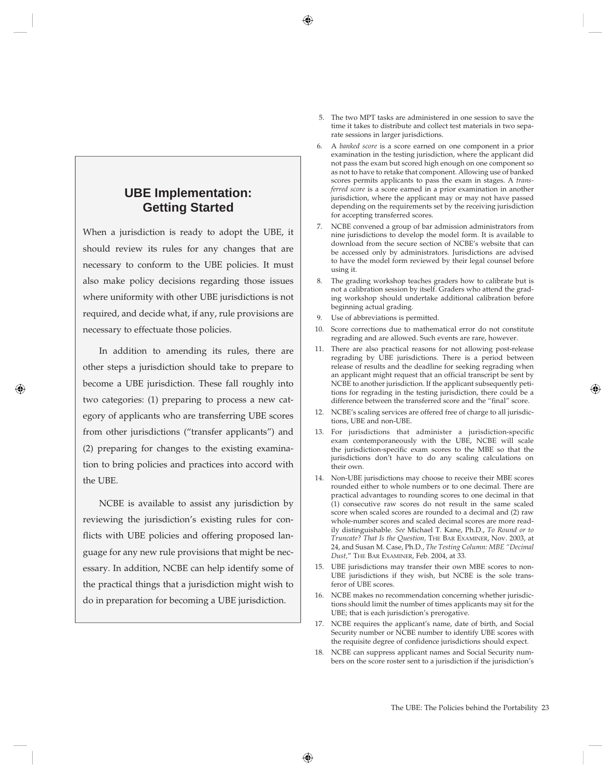## **UBE Implementation: Getting Started**

When a jurisdiction is ready to adopt the UBE, it should review its rules for any changes that are necessary to conform to the UBE policies. It must also make policy decisions regarding those issues where uniformity with other UBE jurisdictions is not required, and decide what, if any, rule provisions are necessary to effectuate those policies.

In addition to amending its rules, there are other steps a jurisdiction should take to prepare to become a UBE jurisdiction. These fall roughly into two categories: (1) preparing to process a new category of applicants who are transferring UBE scores from other jurisdictions ("transfer applicants") and (2) preparing for changes to the existing examination to bring policies and practices into accord with the UBE.

NCBE is available to assist any jurisdiction by reviewing the jurisdiction's existing rules for conflicts with UBE policies and offering proposed language for any new rule provisions that might be necessary. In addition, NCBE can help identify some of the practical things that a jurisdiction might wish to do in preparation for becoming a UBE jurisdiction.

- 5. The two MPT tasks are administered in one session to save the time it takes to distribute and collect test materials in two separate sessions in larger jurisdictions.
- 6. A *banked score* is a score earned on one component in a prior examination in the testing jurisdiction, where the applicant did not pass the exam but scored high enough on one component so as not to have to retake that component. Allowing use of banked scores permits applicants to pass the exam in stages. A *transferred score* is a score earned in a prior examination in another jurisdiction, where the applicant may or may not have passed depending on the requirements set by the receiving jurisdiction for accepting transferred scores.
- 7. NCBE convened a group of bar admission administrators from nine jurisdictions to develop the model form. It is available to download from the secure section of NCBE's website that can be accessed only by administrators. Jurisdictions are advised to have the model form reviewed by their legal counsel before using it.
- 8. The grading workshop teaches graders how to calibrate but is not a calibration session by itself. Graders who attend the grading workshop should undertake additional calibration before beginning actual grading.
- 9. Use of abbreviations is permitted.
- 10. Score corrections due to mathematical error do not constitute regrading and are allowed. Such events are rare, however.
- 11. There are also practical reasons for not allowing post-release regrading by UBE jurisdictions. There is a period between release of results and the deadline for seeking regrading when an applicant might request that an official transcript be sent by NCBE to another jurisdiction. If the applicant subsequently petitions for regrading in the testing jurisdiction, there could be a difference between the transferred score and the "final" score.
- 12. NCBE's scaling services are offered free of charge to all jurisdictions, UBE and non-UBE.
- 13. For jurisdictions that administer a jurisdiction-specific exam contemporaneously with the UBE, NCBE will scale the jurisdiction-specific exam scores to the MBE so that the jurisdictions don't have to do any scaling calculations on their own.
- 14. Non-UBE jurisdictions may choose to receive their MBE scores rounded either to whole numbers or to one decimal. There are practical advantages to rounding scores to one decimal in that (1) consecutive raw scores do not result in the same scaled score when scaled scores are rounded to a decimal and (2) raw whole-number scores and scaled decimal scores are more readily distinguishable. *See* Michael T. Kane, Ph.D., *To Round or to Truncate? That Is the Question,* the Bar examiner, Nov. 2003, at 24, and Susan M. Case, Ph.D., *The Testing Column: MBE "Decimal*  Dust," THE BAR EXAMINER, Feb. 2004, at 33.
- 15. UBE jurisdictions may transfer their own MBE scores to non-UBE jurisdictions if they wish, but NCBE is the sole transferor of UBE scores.
- 16. NCBE makes no recommendation concerning whether jurisdictions should limit the number of times applicants may sit for the UBE; that is each jurisdiction's prerogative.
- 17. NCBE requires the applicant's name, date of birth, and Social Security number or NCBE number to identify UBE scores with the requisite degree of confidence jurisdictions should expect.
- 18. NCBE can suppress applicant names and Social Security numbers on the score roster sent to a jurisdiction if the jurisdiction's